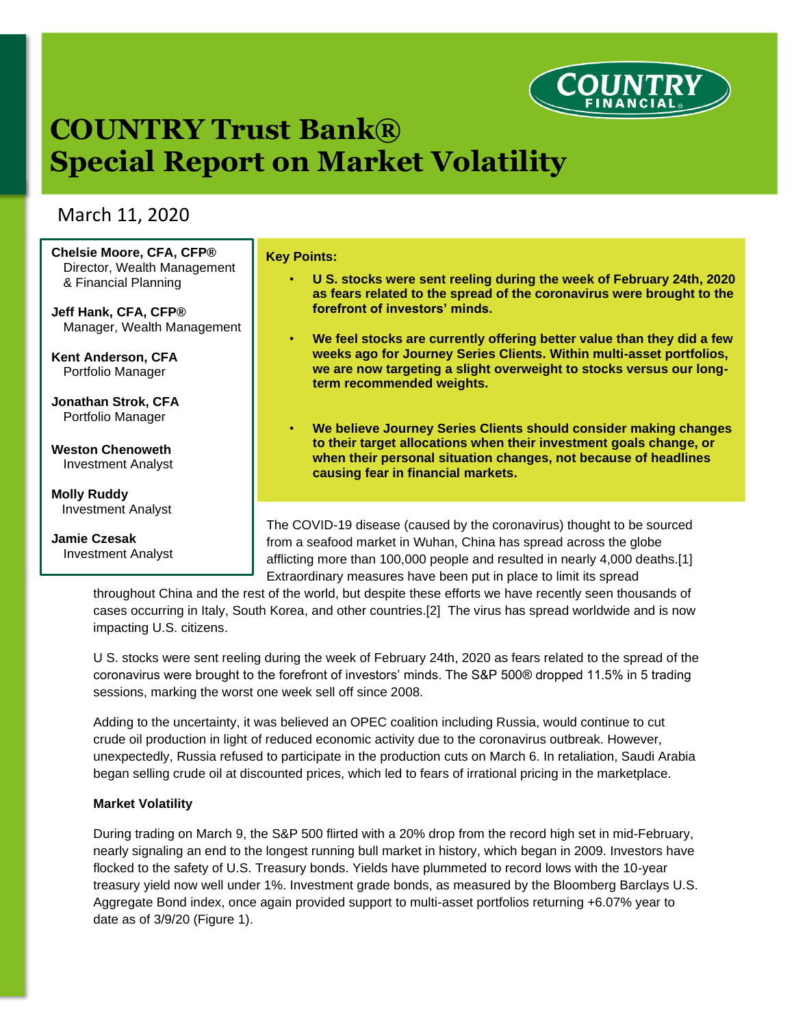

# **COUNTRY Trust Bank® Special Report on Market Volatility**

# March 11, 2020

**Chelsie Moore, CFA, CFP®** Director, Wealth Management & Financial Planning

**Jeff Hank, CFA, CFP®** Manager, Wealth Management

**Kent Anderson, CFA** Portfolio Manager

**Jonathan Strok, CFA** Portfolio Manager

**Weston Chenoweth** Investment Analyst

**Molly Ruddy** Investment Analyst

**Jamie Czesak** Investment Analyst

#### **Key Points:**

- **U S. stocks were sent reeling during the week of February 24th, 2020 as fears related to the spread of the coronavirus were brought to the forefront of investors' minds.**
- **We feel stocks are currently offering better value than they did a few weeks ago for Journey Series Clients. Within multi-asset portfolios, we are now targeting a slight overweight to stocks versus our longterm recommended weights.**
- **We believe Journey Series Clients should consider making changes to their target allocations when their investment goals change, or when their personal situation changes, not because of headlines causing fear in financial markets.**

The COVID-19 disease (caused by the coronavirus) thought to be sourced from a seafood market in Wuhan, China has spread across the globe afflicting more than 100,000 people and resulted in nearly 4,000 deaths.[1] Extraordinary measures have been put in place to limit its spread

throughout China and the rest of the world, but despite these efforts we have recently seen thousands of cases occurring in Italy, South Korea, and other countries.[2] The virus has spread worldwide and is now impacting U.S. citizens.

U S. stocks were sent reeling during the week of February 24th, 2020 as fears related to the spread of the coronavirus were brought to the forefront of investors' minds. The S&P 500® dropped 11.5% in 5 trading sessions, marking the worst one week sell off since 2008.

Adding to the uncertainty, it was believed an OPEC coalition including Russia, would continue to cut crude oil production in light of reduced economic activity due to the coronavirus outbreak. However, unexpectedly, Russia refused to participate in the production cuts on March 6. In retaliation, Saudi Arabia began selling crude oil at discounted prices, which led to fears of irrational pricing in the marketplace.

## **Market Volatility**

During trading on March 9, the S&P 500 flirted with a 20% drop from the record high set in mid-February, nearly signaling an end to the longest running bull market in history, which began in 2009. Investors have flocked to the safety of U.S. Treasury bonds. Yields have plummeted to record lows with the 10-year treasury yield now well under 1%. Investment grade bonds, as measured by the Bloomberg Barclays U.S. Aggregate Bond index, once again provided support to multi-asset portfolios returning +6.07% year to date as of 3/9/20 (Figure 1).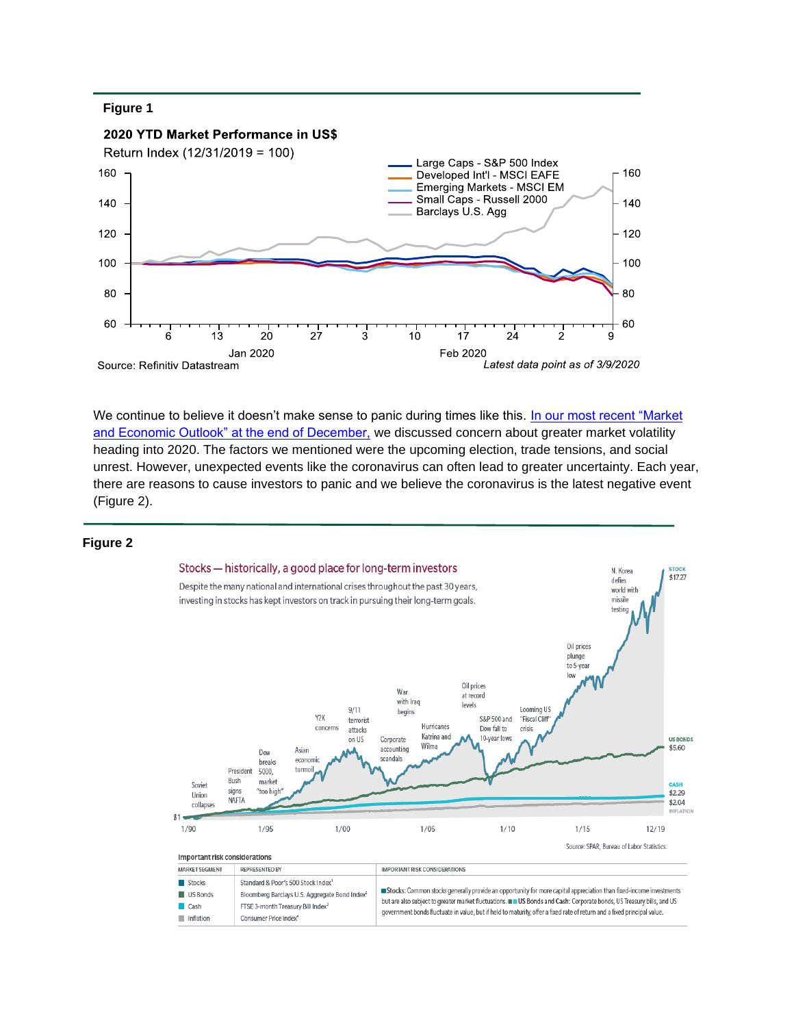## **Figure 1**



We continue to believe it doesn't make sense to panic during times like this. [In our most recent "Market](https://www.countryfinancial.com/en/tools-resources/market-economic-insights/2019-december-market-economic-outlook.html)  [and Economic Outlook" at the end of December,](https://www.countryfinancial.com/en/tools-resources/market-economic-insights/2019-december-market-economic-outlook.html) we discussed concern about greater market volatility heading into 2020. The factors we mentioned were the upcoming election, trade tensions, and social unrest. However, unexpected events like the coronavirus can often lead to greater uncertainty. Each year, there are reasons to cause investors to panic and we believe the coronavirus is the latest negative event (Figure 2).

#### **Figure 2**

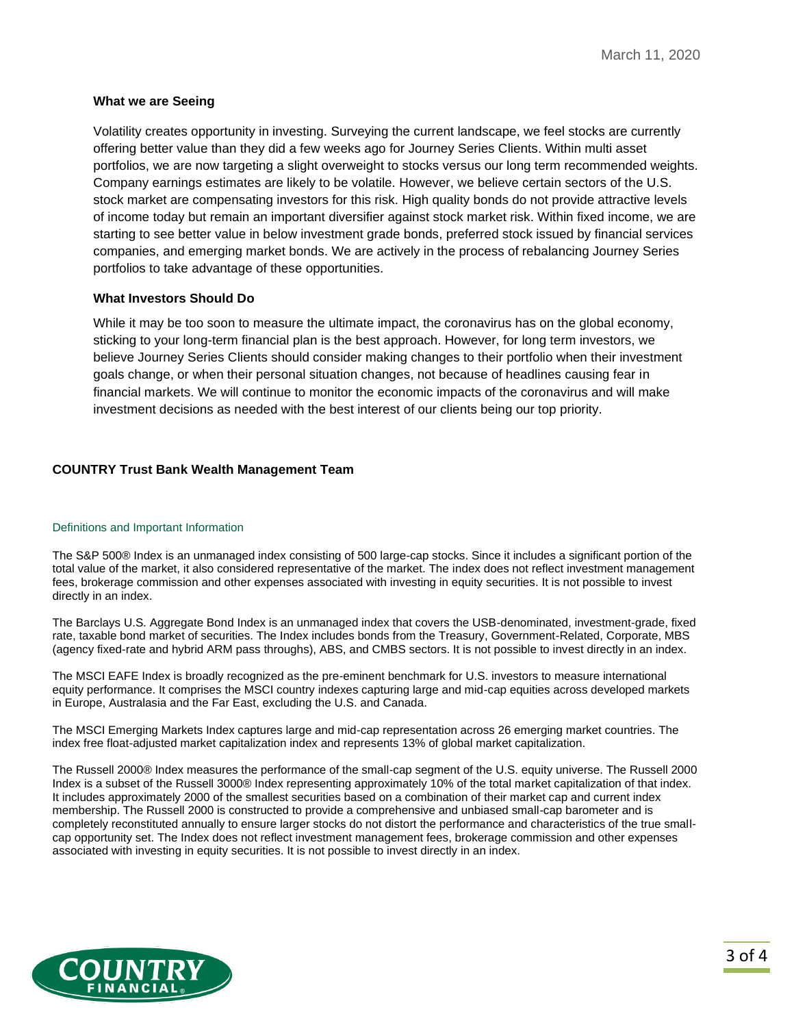#### **What we are Seeing**

Volatility creates opportunity in investing. Surveying the current landscape, we feel stocks are currently offering better value than they did a few weeks ago for Journey Series Clients. Within multi asset portfolios, we are now targeting a slight overweight to stocks versus our long term recommended weights. Company earnings estimates are likely to be volatile. However, we believe certain sectors of the U.S. stock market are compensating investors for this risk. High quality bonds do not provide attractive levels of income today but remain an important diversifier against stock market risk. Within fixed income, we are starting to see better value in below investment grade bonds, preferred stock issued by financial services companies, and emerging market bonds. We are actively in the process of rebalancing Journey Series portfolios to take advantage of these opportunities.

#### **What Investors Should Do**

While it may be too soon to measure the ultimate impact, the coronavirus has on the global economy, sticking to your long-term financial plan is the best approach. However, for long term investors, we believe Journey Series Clients should consider making changes to their portfolio when their investment goals change, or when their personal situation changes, not because of headlines causing fear in financial markets. We will continue to monitor the economic impacts of the coronavirus and will make investment decisions as needed with the best interest of our clients being our top priority.

## **COUNTRY Trust Bank Wealth Management Team**

#### Definitions and Important Information

The S&P 500® Index is an unmanaged index consisting of 500 large-cap stocks. Since it includes a significant portion of the total value of the market, it also considered representative of the market. The index does not reflect investment management fees, brokerage commission and other expenses associated with investing in equity securities. It is not possible to invest directly in an index.

The Barclays U.S. Aggregate Bond Index is an unmanaged index that covers the USB-denominated, investment-grade, fixed rate, taxable bond market of securities. The Index includes bonds from the Treasury, Government-Related, Corporate, MBS (agency fixed-rate and hybrid ARM pass throughs), ABS, and CMBS sectors. It is not possible to invest directly in an index.

The MSCI EAFE Index is broadly recognized as the pre-eminent benchmark for U.S. investors to measure international equity performance. It comprises the MSCI country indexes capturing large and mid-cap equities across developed markets in Europe, Australasia and the Far East, excluding the U.S. and Canada.

The MSCI Emerging Markets Index captures large and mid-cap representation across 26 emerging market countries. The index free float-adjusted market capitalization index and represents 13% of global market capitalization.

The Russell 2000® Index measures the performance of the small-cap segment of the U.S. equity universe. The Russell 2000 Index is a subset of the Russell 3000® Index representing approximately 10% of the total market capitalization of that index. It includes approximately 2000 of the smallest securities based on a combination of their market cap and current index membership. The Russell 2000 is constructed to provide a comprehensive and unbiased small-cap barometer and is completely reconstituted annually to ensure larger stocks do not distort the performance and characteristics of the true smallcap opportunity set. The Index does not reflect investment management fees, brokerage commission and other expenses associated with investing in equity securities. It is not possible to invest directly in an index.